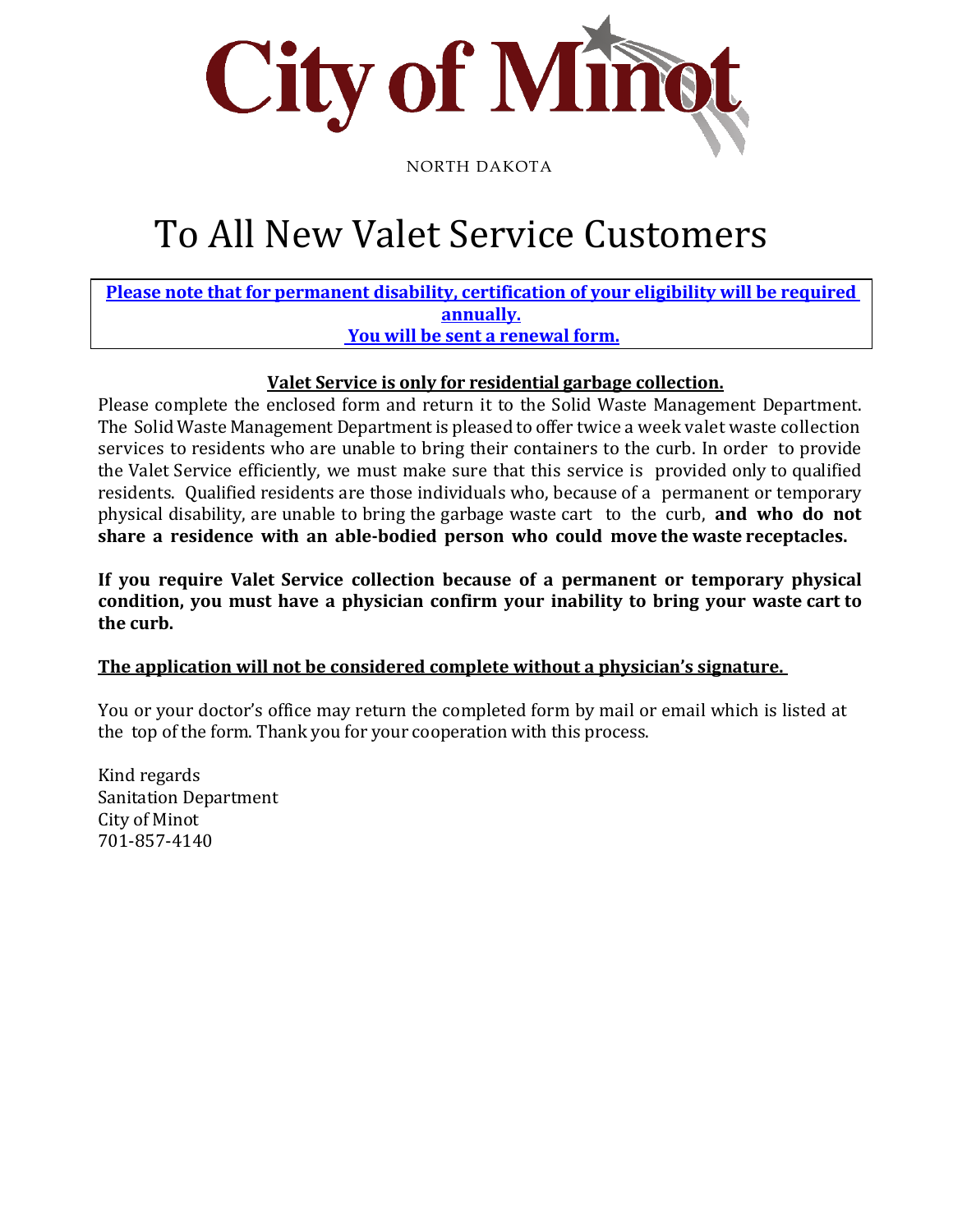

NORTH DAKOTA

# To All New Valet Service Customers

**Please note that for permanent disability, certification of your eligibility will be required annually. You will be sent a renewal form.**

### **Valet Service is only for residential garbage collection.**

Please complete the enclosed form and return it to the Solid Waste Management Department. The Solid Waste Management Department is pleased to offer twice a week valet waste collection services to residents who are unable to bring their containers to the curb. In order to provide the Valet Service efficiently, we must make sure that this service is provided only to qualified residents. Qualified residents are those individuals who, because of a permanent or temporary physical disability, are unable to bring the garbage waste cart to the curb, **and who do not share a residence with an able-bodied person who could move the waste receptacles.**

**If you require Valet Service collection because of a permanent or temporary physical condition, you must have a physician confirm your inability to bring your waste cart to the curb.**

#### **The application will not be considered complete without a physician's signature.**

You or your doctor's office may return the completed form by mail or email which is listed at the top of the form. Thank you for your cooperation with this process.

Kind regards Sanitation Department City of Minot 701-857-4140